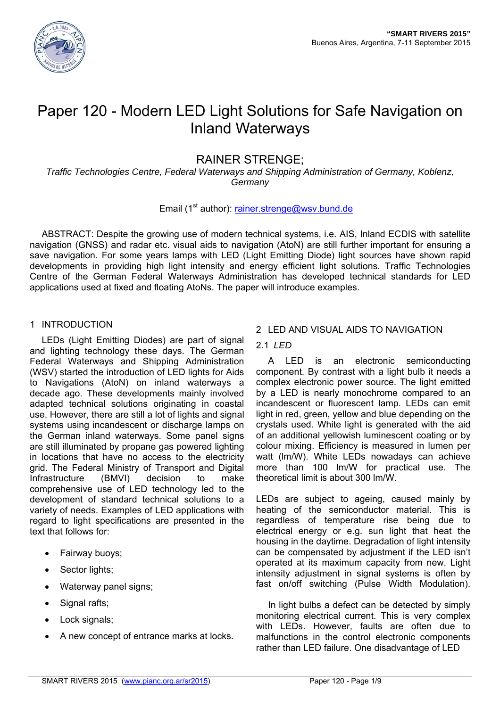

# Paper 120 - Modern LED Light Solutions for Safe Navigation on Inland Waterways

## RAINER STRENGE;

*Traffic Technologies Centre, Federal Waterways and Shipping Administration of Germany, Koblenz, Germany* 

## Email (1<sup>st</sup> author): rainer.strenge@wsv.bund.de

ABSTRACT: Despite the growing use of modern technical systems, i.e. AIS, Inland ECDIS with satellite navigation (GNSS) and radar etc. visual aids to navigation (AtoN) are still further important for ensuring a save navigation. For some years lamps with LED (Light Emitting Diode) light sources have shown rapid developments in providing high light intensity and energy efficient light solutions. Traffic Technologies Centre of the German Federal Waterways Administration has developed technical standards for LED applications used at fixed and floating AtoNs. The paper will introduce examples.

## 1 INTRODUCTION

LEDs (Light Emitting Diodes) are part of signal and lighting technology these days. The German Federal Waterways and Shipping Administration (WSV) started the introduction of LED lights for Aids to Navigations (AtoN) on inland waterways a decade ago. These developments mainly involved adapted technical solutions originating in coastal use. However, there are still a lot of lights and signal systems using incandescent or discharge lamps on the German inland waterways. Some panel signs are still illuminated by propane gas powered lighting in locations that have no access to the electricity grid. The Federal Ministry of Transport and Digital Infrastructure (BMVI) decision to make comprehensive use of LED technology led to the development of standard technical solutions to a variety of needs. Examples of LED applications with regard to light specifications are presented in the text that follows for:

- Fairway buoys;
- Sector lights:
- Waterway panel signs;
- Signal rafts;
- Lock signals;
- A new concept of entrance marks at locks.

## 2 LED AND VISUAL AIDS TO NAVIGATION

## 2.1 *LED*

A LED is an electronic semiconducting component. By contrast with a light bulb it needs a complex electronic power source. The light emitted by a LED is nearly monochrome compared to an incandescent or fluorescent lamp. LEDs can emit light in red, green, yellow and blue depending on the crystals used. White light is generated with the aid of an additional yellowish luminescent coating or by colour mixing. Efficiency is measured in lumen per watt (lm/W). White LEDs nowadays can achieve more than 100 lm/W for practical use. The theoretical limit is about 300 lm/W.

LEDs are subject to ageing, caused mainly by heating of the semiconductor material. This is regardless of temperature rise being due to electrical energy or e.g. sun light that heat the housing in the daytime. Degradation of light intensity can be compensated by adjustment if the LED isn't operated at its maximum capacity from new. Light intensity adjustment in signal systems is often by fast on/off switching (Pulse Width Modulation).

In light bulbs a defect can be detected by simply monitoring electrical current. This is very complex with LEDs. However, faults are often due to malfunctions in the control electronic components rather than LED failure. One disadvantage of LED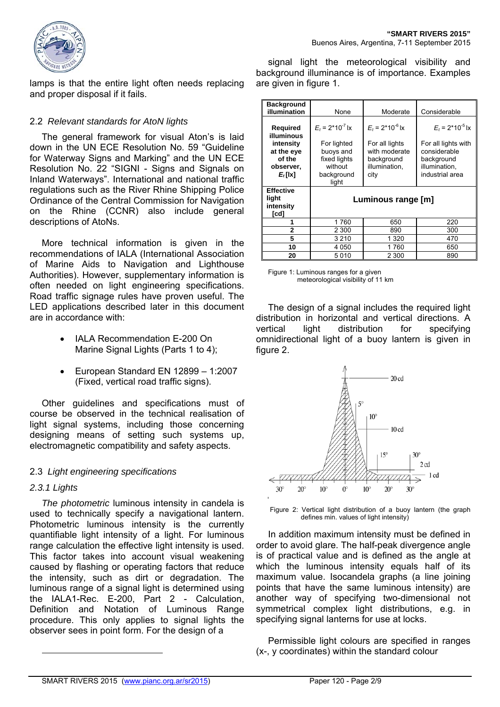

lamps is that the entire light often needs replacing and proper disposal if it fails.

## 2.2 *Relevant standards for AtoN lights*

The general framework for visual Aton's is laid down in the UN ECE Resolution No. 59 "Guideline for Waterway Signs and Marking" and the UN ECE Resolution No. 22 "SIGNI - Signs and Signals on Inland Waterways". International and national traffic regulations such as the River Rhine Shipping Police Ordinance of the Central Commission for Navigation on the Rhine (CCNR) also include general descriptions of AtoNs.

More technical information is given in the recommendations of IALA (International Association of Marine Aids to Navigation and Lighthouse Authorities). However, supplementary information is often needed on light engineering specifications. Road traffic signage rules have proven useful. The LED applications described later in this document are in accordance with:

- IALA Recommendation E-200 On Marine Signal Lights (Parts 1 to 4);
- European Standard EN 12899 1:2007 (Fixed, vertical road traffic signs).

Other guidelines and specifications must of course be observed in the technical realisation of light signal systems, including those concerning designing means of setting such systems up, electromagnetic compatibility and safety aspects.

## 2.3 *Light engineering specifications*

## *2.3.1 Lights*

 $\overline{a}$ 

*The photometric* luminous intensity in candela is used to technically specify a navigational lantern. Photometric luminous intensity is the currently quantifiable light intensity of a light. For luminous range calculation the effective light intensity is used. This factor takes into account visual weakening caused by flashing or operating factors that reduce the intensity, such as dirt or degradation. The luminous range of a signal light is determined using the IALA1-Rec. E-200, Part 2 - Calculation, Definition and Notation of Luminous Range procedure. This only applies to signal lights the observer sees in point form. For the design of a

signal light the meteorological visibility and background illuminance is of importance. Examples are given in figure 1.

| <b>Background</b><br>illumination                                                             | None                                                                                                        | Moderate                                                                                                | Considerable                                                                                                           |
|-----------------------------------------------------------------------------------------------|-------------------------------------------------------------------------------------------------------------|---------------------------------------------------------------------------------------------------------|------------------------------------------------------------------------------------------------------------------------|
| <b>Required</b><br>illuminous<br>intensity<br>at the eye<br>of the<br>observer,<br>$E_t$ [lx] | $E_t$ = 2*10 <sup>-7</sup> lx<br>For lighted<br>buoys and<br>fixed lights<br>without<br>background<br>light | $E_t$ = 2*10 <sup>-6</sup> lx<br>For all lights<br>with moderate<br>background<br>illumination,<br>city | $E_t$ = 2*10 <sup>-5</sup> lx<br>For all lights with<br>considerable<br>background<br>illumination.<br>industrial area |
| <b>Effective</b><br>light<br>intensity<br>[cd]                                                | Luminous range [m]                                                                                          |                                                                                                         |                                                                                                                        |
| 1                                                                                             | 1760                                                                                                        | 650                                                                                                     | 220                                                                                                                    |
| $\mathbf 2$                                                                                   | 2 300                                                                                                       | 890                                                                                                     | 300                                                                                                                    |
| 5                                                                                             | 3 2 1 0                                                                                                     | 1 3 2 0                                                                                                 | 470                                                                                                                    |
| 10                                                                                            | 4 0 5 0                                                                                                     | 1760                                                                                                    | 650                                                                                                                    |
| 20                                                                                            | 5010                                                                                                        | 2 3 0 0                                                                                                 | 890                                                                                                                    |

Figure 1: Luminous ranges for a given meteorological visibility of 11 km

The design of a signal includes the required light distribution in horizontal and vertical directions. A vertical light distribution for specifying omnidirectional light of a buoy lantern is given in figure 2.



Figure 2: Vertical light distribution of a buoy lantern (the graph defines min. values of light intensity)

In addition maximum intensity must be defined in order to avoid glare. The half-peak divergence angle is of practical value and is defined as the angle at which the luminous intensity equals half of its maximum value. Isocandela graphs (a line joining points that have the same luminous intensity) are another way of specifying two-dimensional not symmetrical complex light distributions, e.g. in specifying signal lanterns for use at locks.

Permissible light colours are specified in ranges (x-, y coordinates) within the standard colour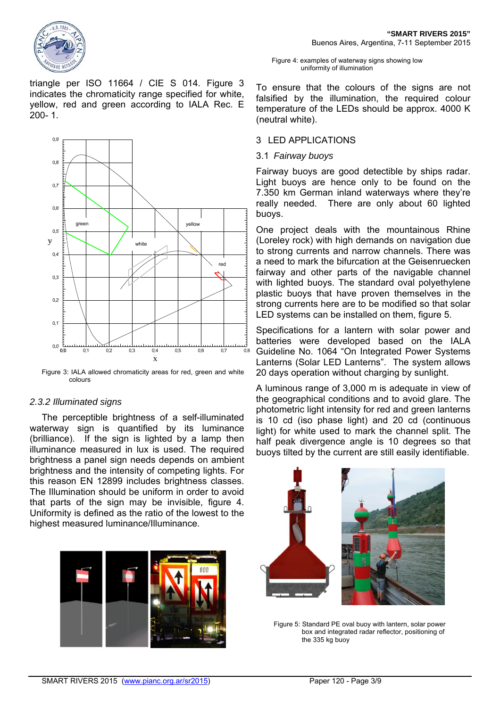

triangle per ISO 11664 / CIE S 014. Figure 3 indicates the chromaticity range specified for white, yellow, red and green according to IALA Rec. E 200- 1.



Figure 3: IALA allowed chromaticity areas for red, green and white colours

#### *2.3.2 Illuminated signs*

The perceptible brightness of a self-illuminated waterway sign is quantified by its luminance (brilliance). If the sign is lighted by a lamp then illuminance measured in lux is used. The required brightness a panel sign needs depends on ambient brightness and the intensity of competing lights. For this reason EN 12899 includes brightness classes. The Illumination should be uniform in order to avoid that parts of the sign may be invisible, figure 4. Uniformity is defined as the ratio of the lowest to the highest measured luminance/Illuminance.



#### Figure 4: examples of waterway signs showing low uniformity of illumination

To ensure that the colours of the signs are not falsified by the illumination, the required colour temperature of the LEDs should be approx. 4000 K (neutral white).

#### 3 LED APPLICATIONS

#### 3.1 *Fairway buoys*

Fairway buoys are good detectible by ships radar. Light buoys are hence only to be found on the 7.350 km German inland waterways where they're really needed. There are only about 60 lighted buoys.

One project deals with the mountainous Rhine (Loreley rock) with high demands on navigation due to strong currents and narrow channels. There was a need to mark the bifurcation at the Geisenruecken fairway and other parts of the navigable channel with lighted buoys. The standard oval polyethylene plastic buoys that have proven themselves in the strong currents here are to be modified so that solar LED systems can be installed on them, figure 5.

Specifications for a lantern with solar power and batteries were developed based on the IALA Guideline No. 1064 "On Integrated Power Systems Lanterns (Solar LED Lanterns". The system allows 20 days operation without charging by sunlight.

A luminous range of 3,000 m is adequate in view of the geographical conditions and to avoid glare. The photometric light intensity for red and green lanterns is 10 cd (iso phase light) and 20 cd (continuous light) for white used to mark the channel split. The half peak divergence angle is 10 degrees so that buoys tilted by the current are still easily identifiable.



Figure 5: Standard PE oval buoy with lantern, solar power box and integrated radar reflector, positioning of the 335 kg buoy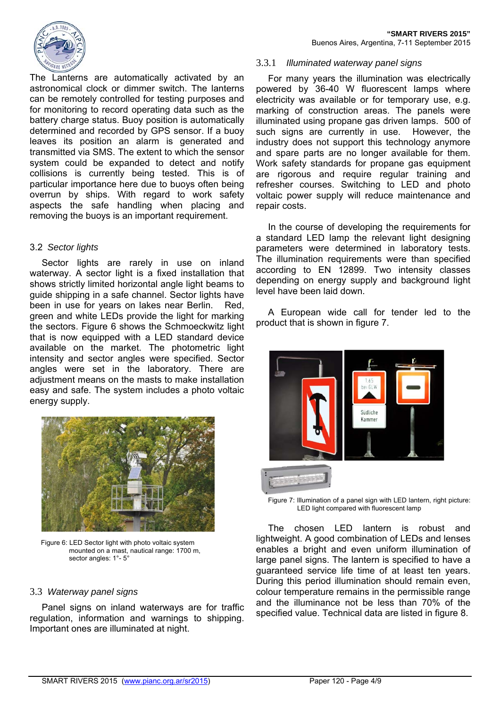

The Lanterns are automatically activated by an astronomical clock or dimmer switch. The lanterns can be remotely controlled for testing purposes and for monitoring to record operating data such as the battery charge status. Buoy position is automatically determined and recorded by GPS sensor. If a buoy leaves its position an alarm is generated and transmitted via SMS. The extent to which the sensor system could be expanded to detect and notify collisions is currently being tested. This is of particular importance here due to buoys often being overrun by ships. With regard to work safety aspects the safe handling when placing and removing the buoys is an important requirement.

## 3.2 *Sector lights*

Sector lights are rarely in use on inland waterway. A sector light is a fixed installation that shows strictly limited horizontal angle light beams to guide shipping in a safe channel. Sector lights have been in use for years on lakes near Berlin. Red, green and white LEDs provide the light for marking the sectors. Figure 6 shows the Schmoeckwitz light that is now equipped with a LED standard device available on the market. The photometric light intensity and sector angles were specified. Sector angles were set in the laboratory. There are adjustment means on the masts to make installation easy and safe. The system includes a photo voltaic energy supply.



 Figure 6: LED Sector light with photo voltaic system mounted on a mast, nautical range: 1700 m, sector angles: 1°-5°

#### 3.3 *Waterway panel signs*

Panel signs on inland waterways are for traffic regulation, information and warnings to shipping. Important ones are illuminated at night.

#### 3.3.1 *Illuminated waterway panel signs*

For many years the illumination was electrically powered by 36-40 W fluorescent lamps where electricity was available or for temporary use, e.g. marking of construction areas. The panels were illuminated using propane gas driven lamps. 500 of such signs are currently in use. However, the industry does not support this technology anymore and spare parts are no longer available for them. Work safety standards for propane gas equipment are rigorous and require regular training and refresher courses. Switching to LED and photo voltaic power supply will reduce maintenance and repair costs.

In the course of developing the requirements for a standard LED lamp the relevant light designing parameters were determined in laboratory tests. The illumination requirements were than specified according to EN 12899. Two intensity classes depending on energy supply and background light level have been laid down.

A European wide call for tender led to the product that is shown in figure 7.



Figure 7: Illumination of a panel sign with LED lantern, right picture: LED light compared with fluorescent lamp

The chosen LED lantern is robust and lightweight. A good combination of LEDs and lenses enables a bright and even uniform illumination of large panel signs. The lantern is specified to have a guaranteed service life time of at least ten years. During this period illumination should remain even, colour temperature remains in the permissible range and the illuminance not be less than 70% of the specified value. Technical data are listed in figure 8.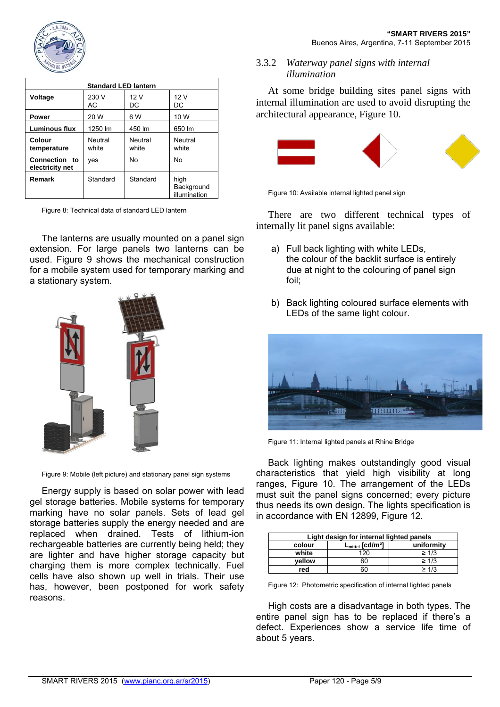

| <b>Standard LED lantern</b>      |                  |                  |                                    |  |  |
|----------------------------------|------------------|------------------|------------------------------------|--|--|
| Voltage                          | 230 V<br>AC      | 12V<br>DC        | 12V<br>DC                          |  |  |
| <b>Power</b>                     | 20 W             | 6 W              | 10 W                               |  |  |
| Luminous flux                    | 1250 lm          | 450 lm           | 650 lm                             |  |  |
| Colour<br>temperature            | Neutral<br>white | Neutral<br>white | Neutral<br>white                   |  |  |
| Connection to<br>electricity net | ves              | No               | No                                 |  |  |
| Remark                           | Standard         | Standard         | high<br>Background<br>illumination |  |  |

Figure 8: Technical data of standard LED lantern

The lanterns are usually mounted on a panel sign extension. For large panels two lanterns can be used. Figure 9 shows the mechanical construction for a mobile system used for temporary marking and a stationary system.



Figure 9: Mobile (left picture) and stationary panel sign systems

Energy supply is based on solar power with lead gel storage batteries. Mobile systems for temporary marking have no solar panels. Sets of lead gel storage batteries supply the energy needed and are replaced when drained. Tests of lithium-ion rechargeable batteries are currently being held; they are lighter and have higher storage capacity but charging them is more complex technically. Fuel cells have also shown up well in trials. Their use has, however, been postponed for work safety reasons.

## 3.3.2 *Waterway panel signs with internal illumination*

At some bridge building sites panel signs with internal illumination are used to avoid disrupting the architectural appearance, Figure 10.



Figure 10: Available internal lighted panel sign

There are two different technical types of internally lit panel signs available:

- a) Full back lighting with white LEDs, the colour of the backlit surface is entirely due at night to the colouring of panel sign foil;
- b) Back lighting coloured surface elements with LEDs of the same light colour.



Figure 11: Internal lighted panels at Rhine Bridge

Back lighting makes outstandingly good visual characteristics that yield high visibility at long ranges, Figure 10. The arrangement of the LEDs must suit the panel signs concerned; every picture thus needs its own design. The lights specification is in accordance with EN 12899, Figure 12.

| Light design for internal lighted panels |                                          |            |  |  |  |
|------------------------------------------|------------------------------------------|------------|--|--|--|
| colour                                   | $L_{\text{mittel}}$ [cd/m <sup>2</sup> ] | uniformity |  |  |  |
| white                                    | 120                                      | $\geq 1/3$ |  |  |  |
| vellow                                   | 60                                       | $\geq 1/3$ |  |  |  |
| red                                      |                                          | $\geq 1/3$ |  |  |  |

Figure 12: Photometric specification of internal lighted panels

High costs are a disadvantage in both types. The entire panel sign has to be replaced if there's a defect. Experiences show a service life time of about 5 years.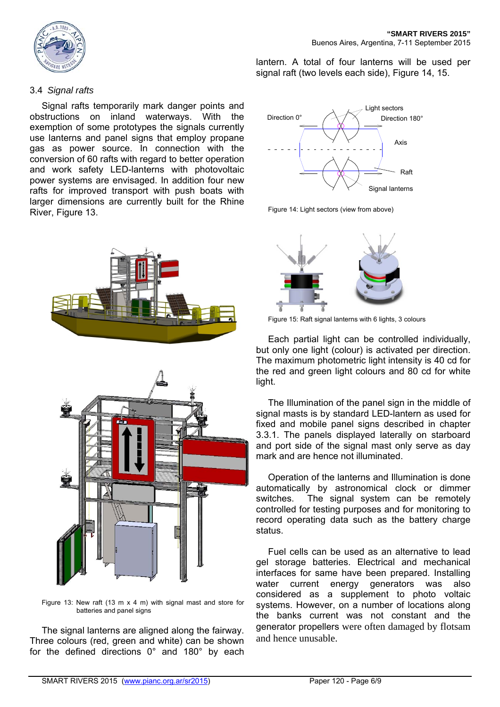

### 3.4 *Signal rafts*

Signal rafts temporarily mark danger points and obstructions on inland waterways. With the exemption of some prototypes the signals currently use lanterns and panel signs that employ propane gas as power source. In connection with the conversion of 60 rafts with regard to better operation and work safety LED-lanterns with photovoltaic power systems are envisaged. In addition four new rafts for improved transport with push boats with larger dimensions are currently built for the Rhine River, Figure 13.





Figure 13: New raft (13 m x 4 m) with signal mast and store for batteries and panel signs

The signal lanterns are aligned along the fairway. Three colours (red, green and white) can be shown for the defined directions 0° and 180° by each lantern. A total of four lanterns will be used per signal raft (two levels each side), Figure 14, 15.



Figure 14: Light sectors (view from above)



Figure 15: Raft signal lanterns with 6 lights, 3 colours

Each partial light can be controlled individually, but only one light (colour) is activated per direction. The maximum photometric light intensity is 40 cd for the red and green light colours and 80 cd for white light.

The Illumination of the panel sign in the middle of signal masts is by standard LED-lantern as used for fixed and mobile panel signs described in chapter 3.3.1. The panels displayed laterally on starboard and port side of the signal mast only serve as day mark and are hence not illuminated.

Operation of the lanterns and Illumination is done automatically by astronomical clock or dimmer switches. The signal system can be remotely controlled for testing purposes and for monitoring to record operating data such as the battery charge status.

Fuel cells can be used as an alternative to lead gel storage batteries. Electrical and mechanical interfaces for same have been prepared. Installing water current energy generators was also considered as a supplement to photo voltaic systems. However, on a number of locations along the banks current was not constant and the generator propellers were often damaged by flotsam and hence unusable.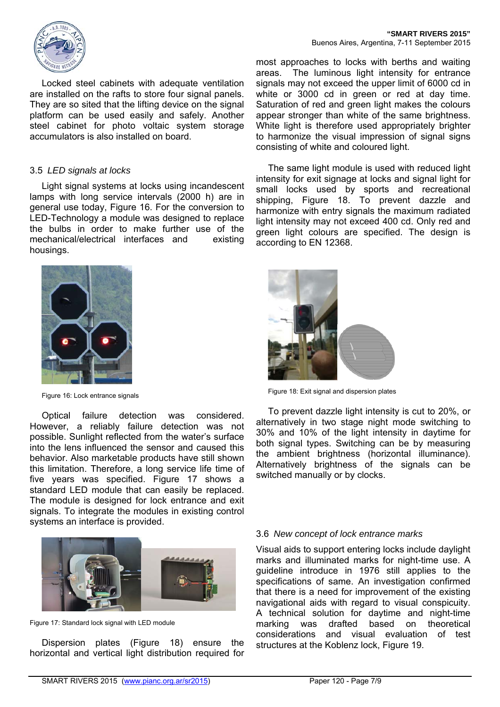

Locked steel cabinets with adequate ventilation are installed on the rafts to store four signal panels. They are so sited that the lifting device on the signal platform can be used easily and safely. Another steel cabinet for photo voltaic system storage accumulators is also installed on board.

#### 3.5 *LED signals at locks*

Light signal systems at locks using incandescent lamps with long service intervals (2000 h) are in general use today, Figure 16. For the conversion to LED-Technology a module was designed to replace the bulbs in order to make further use of the mechanical/electrical interfaces and existing housings.



Figure 16: Lock entrance signals

Optical failure detection was considered. However, a reliably failure detection was not possible. Sunlight reflected from the water's surface into the lens influenced the sensor and caused this behavior. Also marketable products have still shown this limitation. Therefore, a long service life time of five years was specified. Figure 17 shows a standard LED module that can easily be replaced. The module is designed for lock entrance and exit signals. To integrate the modules in existing control systems an interface is provided.



Figure 17: Standard lock signal with LED module

Dispersion plates (Figure 18) ensure the horizontal and vertical light distribution required for

most approaches to locks with berths and waiting areas. The luminous light intensity for entrance signals may not exceed the upper limit of 6000 cd in white or 3000 cd in green or red at day time. Saturation of red and green light makes the colours appear stronger than white of the same brightness. White light is therefore used appropriately brighter to harmonize the visual impression of signal signs consisting of white and coloured light.

The same light module is used with reduced light intensity for exit signage at locks and signal light for small locks used by sports and recreational shipping, Figure 18. To prevent dazzle and harmonize with entry signals the maximum radiated light intensity may not exceed 400 cd. Only red and green light colours are specified. The design is according to EN 12368.



Figure 18: Exit signal and dispersion plates

To prevent dazzle light intensity is cut to 20%, or alternatively in two stage night mode switching to 30% and 10% of the light intensity in daytime for both signal types. Switching can be by measuring the ambient brightness (horizontal illuminance). Alternatively brightness of the signals can be switched manually or by clocks.

## 3.6 *New concept of lock entrance marks*

Visual aids to support entering locks include daylight marks and illuminated marks for night-time use. A guideline introduce in 1976 still applies to the specifications of same. An investigation confirmed that there is a need for improvement of the existing navigational aids with regard to visual conspicuity. A technical solution for daytime and night-time marking was drafted based on theoretical considerations and visual evaluation of test structures at the Koblenz lock, Figure 19.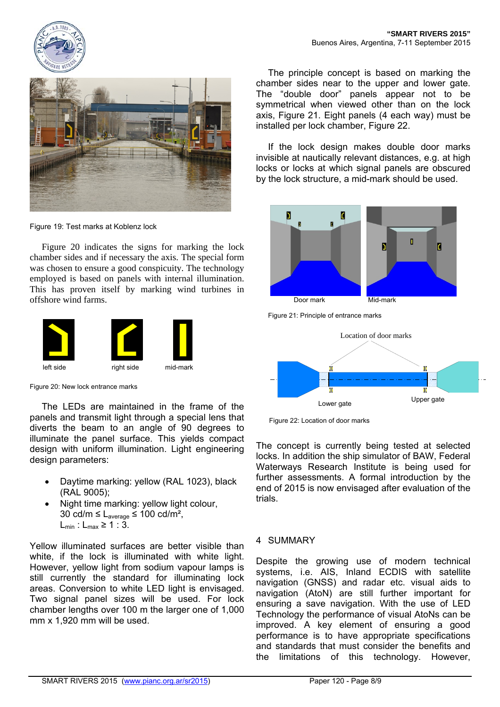



Figure 19: Test marks at Koblenz lock

Figure 20 indicates the signs for marking the lock chamber sides and if necessary the axis. The special form was chosen to ensure a good conspicuity. The technology employed is based on panels with internal illumination. This has proven itself by marking wind turbines in offshore wind farms.



Figure 20: New lock entrance marks

The LEDs are maintained in the frame of the panels and transmit light through a special lens that diverts the beam to an angle of 90 degrees to illuminate the panel surface. This yields compact design with uniform illumination. Light engineering design parameters:

- Daytime marking: yellow (RAL 1023), black (RAL 9005);
- Night time marking: yellow light colour, 30 cd/m ≤  $L_{average}$  ≤ 100 cd/m<sup>2</sup>,  $L_{min}: L_{max} \geq 1:3$ .

Yellow illuminated surfaces are better visible than white, if the lock is illuminated with white light. However, yellow light from sodium vapour lamps is still currently the standard for illuminating lock areas. Conversion to white LED light is envisaged. Two signal panel sizes will be used. For lock chamber lengths over 100 m the larger one of 1,000 mm x 1,920 mm will be used.

The principle concept is based on marking the chamber sides near to the upper and lower gate. The "double door" panels appear not to be symmetrical when viewed other than on the lock axis, Figure 21. Eight panels (4 each way) must be installed per lock chamber, Figure 22.

If the lock design makes double door marks invisible at nautically relevant distances, e.g. at high locks or locks at which signal panels are obscured by the lock structure, a mid-mark should be used.



Figure 21: Principle of entrance marks



Figure 22: Location of door marks

The concept is currently being tested at selected locks. In addition the ship simulator of BAW, Federal Waterways Research Institute is being used for further assessments. A formal introduction by the end of 2015 is now envisaged after evaluation of the trials.

## 4 SUMMARY

Despite the growing use of modern technical systems, i.e. AIS, Inland ECDIS with satellite navigation (GNSS) and radar etc. visual aids to navigation (AtoN) are still further important for ensuring a save navigation. With the use of LED Technology the performance of visual AtoNs can be improved. A key element of ensuring a good performance is to have appropriate specifications and standards that must consider the benefits and the limitations of this technology. However,